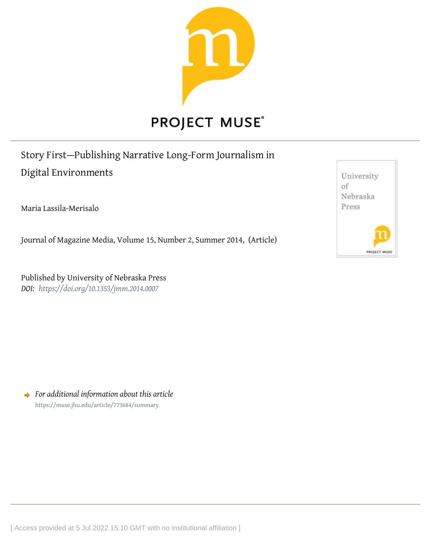

# Story First—Publishing Narrative Long-Form Journalism in Digital Environments

Maria Lassila-Merisalo

Journal of Magazine Media, Volume 15, Number 2, Summer 2014, (Article)

Published by University of Nebraska Press *DOI: <https://doi.org/10.1353/jmm.2014.0007>*

*For additional information about this article* <https://muse.jhu.edu/article/773684/summary>



[ Access provided at 5 Jul 2022 15:10 GMT with no institutional affiliation ]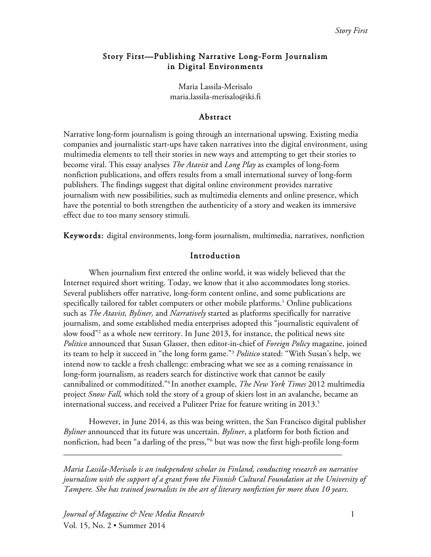## Story First—Publishing Narrative Long-Form Journalism in Digital Environments

Maria Lassila-Merisalo maria.lassila-merisalo@iki.fi

#### Abstract

Narrative long-form journalism is going through an international upswing. Existing media companies and journalistic start-ups have taken narratives into the digital environment, using multimedia elements to tell their stories in new ways and attempting to get their stories to become viral. This essay analyses *The Atavist* and *Long Play* as examples of long-form nonfiction publications, and offers results from a small international survey of long-form publishers. The findings suggest that digital online environment provides narrative journalism with new possibilities, such as multimedia elements and online presence, which have the potential to both strengthen the authenticity of a story and weaken its immersive effect due to too many sensory stimuli.

Keywords: digital environments, long-form journalism, multimedia, narratives, nonfiction

## Introduction

When journalism first entered the online world, it was widely believed that the Internet required short writing. Today, we know that it also accommodates long stories. Several publishers offer narrative, long-form content online, and some publications are specifically tailored for tablet computers or other mobile platforms. <sup>1</sup> Online publications such as *The Atavist, Byliner,* and *Narratively* started as platforms specifically for narrative journalism, and some established media enterprises adopted this "journalistic equivalent of slow food"<sup>2</sup> as a whole new territory. In June 2013, for instance, the political news site *Politico* announced that Susan Glasser, then editor-in-chief of *Foreign Policy* magazine, joined its team to help it succeed in "the long form game."3 *Politico* stated: "With Susan's help, we intend now to tackle a fresh challenge: embracing what we see as a coming renaissance in long-form journalism, as readers search for distinctive work that cannot be easily cannibalized or commoditized."4 In another example, *The New York Times* 2012 multimedia project *Snow Fall,* which told the story of a group of skiers lost in an avalanche, became an international success, and received a Pulitzer Prize for feature writing in 2013.<sup>5</sup>

However, in June 2014, as this was being written, the San Francisco digital publisher *Byliner* announced that its future was uncertain. *Byliner*, a platform for both fiction and nonfiction, had been "a darling of the press,"6 but was now the first high-profile long-form

\_\_\_\_\_\_\_\_\_\_\_\_\_\_\_\_\_\_\_\_\_\_\_\_\_\_\_\_\_\_\_\_\_\_\_\_\_\_\_\_\_\_\_\_\_\_\_\_\_\_\_\_\_\_\_\_\_\_\_\_\_\_\_\_\_\_

*Maria Lassila-Merisalo is an independent scholar in Finland, conducting research on narrative journalism with the support of a grant from the Finnish Cultural Foundation at the University of Tampere. She has trained journalists in the art of literary nonfiction for more than 10 years.*

*Journal of Magazine & New Media Research* 1 Vol. 15, No. 2 • Summer 2014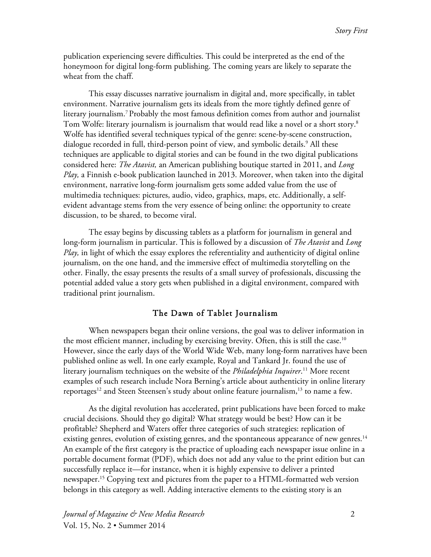publication experiencing severe difficulties. This could be interpreted as the end of the honeymoon for digital long-form publishing. The coming years are likely to separate the wheat from the chaff.

This essay discusses narrative journalism in digital and, more specifically, in tablet environment. Narrative journalism gets its ideals from the more tightly defined genre of literary journalism.7 Probably the most famous definition comes from author and journalist Tom Wolfe: literary journalism is journalism that would read like a novel or a short story.<sup>8</sup> Wolfe has identified several techniques typical of the genre: scene-by-scene construction, dialogue recorded in full, third-person point of view, and symbolic details.<sup>9</sup> All these techniques are applicable to digital stories and can be found in the two digital publications considered here: *The Atavist,* an American publishing boutique started in 2011, and *Long Play,* a Finnish e-book publication launched in 2013. Moreover, when taken into the digital environment, narrative long-form journalism gets some added value from the use of multimedia techniques: pictures, audio, video, graphics, maps, etc. Additionally, a selfevident advantage stems from the very essence of being online: the opportunity to create discussion, to be shared, to become viral.

The essay begins by discussing tablets as a platform for journalism in general and long-form journalism in particular. This is followed by a discussion of *The Atavist* and *Long Play,* in light of which the essay explores the referentiality and authenticity of digital online journalism, on the one hand, and the immersive effect of multimedia storytelling on the other. Finally, the essay presents the results of a small survey of professionals, discussing the potential added value a story gets when published in a digital environment, compared with traditional print journalism.

### The Dawn of Tablet Journalism

When newspapers began their online versions, the goal was to deliver information in the most efficient manner, including by exercising brevity. Often, this is still the case.<sup>10</sup> However, since the early days of the World Wide Web, many long-form narratives have been published online as well. In one early example, Royal and Tankard Jr. found the use of literary journalism techniques on the website of the *Philadelphia Inquirer*. <sup>11</sup> More recent examples of such research include Nora Berning's article about authenticity in online literary reportages<sup>12</sup> and Steen Steensen's study about online feature journalism,<sup>13</sup> to name a few.

As the digital revolution has accelerated, print publications have been forced to make crucial decisions. Should they go digital? What strategy would be best? How can it be profitable? Shepherd and Waters offer three categories of such strategies: replication of existing genres, evolution of existing genres, and the spontaneous appearance of new genres.<sup>14</sup> An example of the first category is the practice of uploading each newspaper issue online in a portable document format (PDF), which does not add any value to the print edition but can successfully replace it—for instance, when it is highly expensive to deliver a printed newspaper.15 Copying text and pictures from the paper to a HTML-formatted web version belongs in this category as well. Adding interactive elements to the existing story is an

*Journal of Magazine & New Media Research* 2 Vol. 15, No. 2 • Summer 2014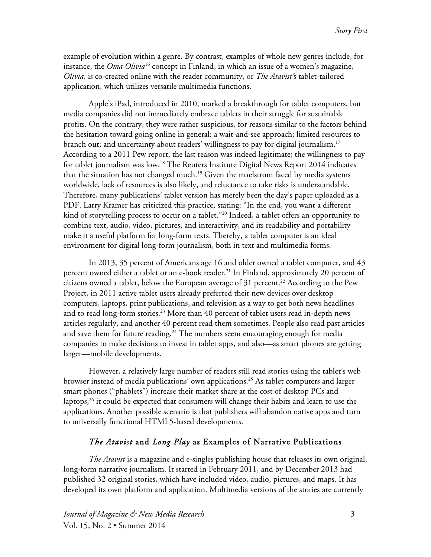example of evolution within a genre. By contrast, examples of whole new genres include, for instance, the *Oma Olivia*<sup>16</sup> concept in Finland, in which an issue of a women's magazine, *Olivia,* is co-created online with the reader community, or *The Atavist'*s tablet-tailored application, which utilizes versatile multimedia functions.

Apple's iPad, introduced in 2010, marked a breakthrough for tablet computers, but media companies did not immediately embrace tablets in their struggle for sustainable profits. On the contrary, they were rather suspicious, for reasons similar to the factors behind the hesitation toward going online in general: a wait-and-see approach; limited resources to branch out; and uncertainty about readers' willingness to pay for digital journalism.17 According to a 2011 Pew report, the last reason was indeed legitimate; the willingness to pay for tablet journalism was low.<sup>18</sup> The Reuters Institute Digital News Report 2014 indicates that the situation has not changed much.<sup>19</sup> Given the maelstrom faced by media systems worldwide, lack of resources is also likely, and reluctance to take risks is understandable. Therefore, many publications' tablet version has merely been the day's paper uploaded as a PDF. Larry Kramer has criticized this practice, stating: "In the end, you want a different kind of storytelling process to occur on a tablet."20 Indeed, a tablet offers an opportunity to combine text, audio, video, pictures, and interactivity, and its readability and portability make it a useful platform for long-form texts. Thereby, a tablet computer is an ideal environment for digital long-form journalism, both in text and multimedia forms.

In 2013, 35 percent of Americans age 16 and older owned a tablet computer, and 43 percent owned either a tablet or an e-book reader.<sup>21</sup> In Finland, approximately 20 percent of citizens owned a tablet, below the European average of 31 percent.<sup>22</sup> According to the Pew Project, in 2011 active tablet users already preferred their new devices over desktop computers, laptops, print publications, and television as a way to get both news headlines and to read long-form stories.<sup>23</sup> More than 40 percent of tablet users read in-depth news articles regularly, and another 40 percent read them sometimes. People also read past articles and save them for future reading.<sup>24</sup> The numbers seem encouraging enough for media companies to make decisions to invest in tablet apps, and also—as smart phones are getting larger—mobile developments.

However, a relatively large number of readers still read stories using the tablet's web browser instead of media publications' own applications.<sup>25</sup> As tablet computers and larger smart phones ("phablets") increase their market share at the cost of desktop PCs and laptops, $26$  it could be expected that consumers will change their habits and learn to use the applications. Another possible scenario is that publishers will abandon native apps and turn to universally functional HTML5-based developments.

## *The Atavist* and *Long Play* as Examples of Narrative Publications

*The Atavist* is a magazine and e-singles publishing house that releases its own original, long-form narrative journalism. It started in February 2011, and by December 2013 had published 32 original stories, which have included video, audio, pictures, and maps. It has developed its own platform and application. Multimedia versions of the stories are currently

*Journal of Magazine & New Media Research* 3 Vol. 15, No. 2 • Summer 2014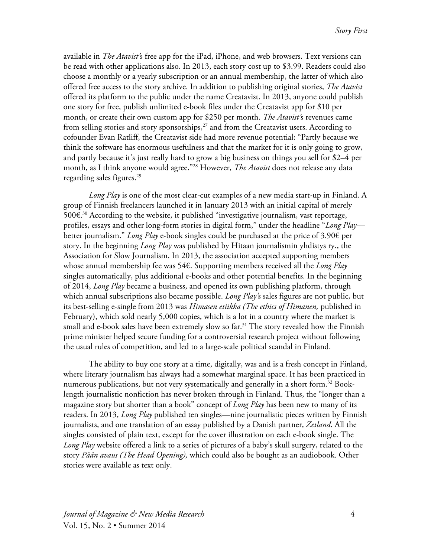available in *The Atavist'*s free app for the iPad, iPhone, and web browsers. Text versions can be read with other applications also. In 2013, each story cost up to \$3.99. Readers could also choose a monthly or a yearly subscription or an annual membership, the latter of which also offered free access to the story archive. In addition to publishing original stories, *The Atavist* offered its platform to the public under the name Creatavist. In 2013, anyone could publish one story for free, publish unlimited e-book files under the Creatavist app for \$10 per month, or create their own custom app for \$250 per month. *The Atavist'*s revenues came from selling stories and story sponsorships, $27$  and from the Creatavist users. According to cofounder Evan Ratliff, the Creatavist side had more revenue potential: "Partly because we think the software has enormous usefulness and that the market for it is only going to grow, and partly because it's just really hard to grow a big business on things you sell for \$2–4 per month, as I think anyone would agree."28 However, *The Atavist* does not release any data regarding sales figures.<sup>29</sup>

*Long Play* is one of the most clear-cut examples of a new media start-up in Finland. A group of Finnish freelancers launched it in January 2013 with an initial capital of merely 500€. <sup>30</sup> According to the website, it published "investigative journalism, vast reportage, profiles, essays and other long-form stories in digital form," under the headline "*Long Play* better journalism." *Long Play* e-book singles could be purchased at the price of 3.90€ per story. In the beginning *Long Play* was published by Hitaan journalismin yhdistys ry., the Association for Slow Journalism. In 2013, the association accepted supporting members whose annual membership fee was 54€. Supporting members received all the *Long Play* singles automatically, plus additional e-books and other potential benefits. In the beginning of 2014, *Long Play* became a business, and opened its own publishing platform, through which annual subscriptions also became possible. *Long Play'*s sales figures are not public, but its best-selling e-single from 2013 was *Himasen etiikka (The ethics of Himanen,* published in February), which sold nearly 5,000 copies, which is a lot in a country where the market is small and e-book sales have been extremely slow so far.<sup>31</sup> The story revealed how the Finnish prime minister helped secure funding for a controversial research project without following the usual rules of competition, and led to a large-scale political scandal in Finland.

The ability to buy one story at a time, digitally, was and is a fresh concept in Finland, where literary journalism has always had a somewhat marginal space. It has been practiced in numerous publications, but not very systematically and generally in a short form.<sup>32</sup> Booklength journalistic nonfiction has never broken through in Finland. Thus, the "longer than a magazine story but shorter than a book" concept of *Long Play* has been new to many of its readers. In 2013, *Long Play* published ten singles—nine journalistic pieces written by Finnish journalists, and one translation of an essay published by a Danish partner, *Zetland*. All the singles consisted of plain text, except for the cover illustration on each e-book single. The *Long Play* website offered a link to a series of pictures of a baby's skull surgery, related to the story *Pään avaus (The Head Opening),* which could also be bought as an audiobook. Other stories were available as text only.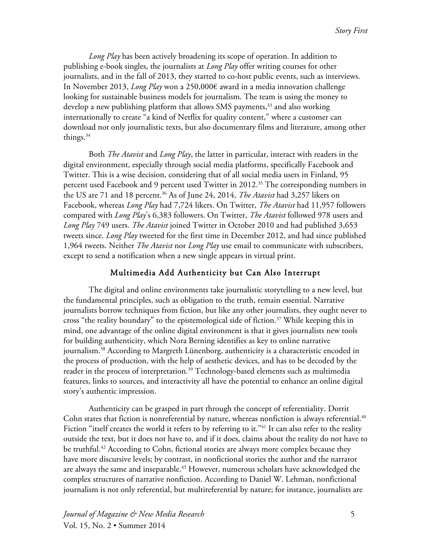*Long Play* has been actively broadening its scope of operation. In addition to publishing e-book singles, the journalists at *Long Play* offer writing courses for other journalists, and in the fall of 2013, they started to co-host public events, such as interviews. In November 2013, *Long Play* won a 250,000€ award in a media innovation challenge looking for sustainable business models for journalism. The team is using the money to develop a new publishing platform that allows SMS payments,<sup>33</sup> and also working internationally to create "a kind of Netflix for quality content," where a customer can download not only journalistic texts, but also documentary films and literature, among other things.<sup>34</sup>

Both *The Atavist* and *Long Play*, the latter in particular, interact with readers in the digital environment, especially through social media platforms, specifically Facebook and Twitter. This is a wise decision, considering that of all social media users in Finland, 95 percent used Facebook and 9 percent used Twitter in 2012.<sup>35</sup> The corresponding numbers in the US are 71 and 18 percent.<sup>36</sup> As of June 24, 2014, *The Atavist* had 3,257 likers on Facebook, whereas *Long Play* had 7,724 likers. On Twitter, *The Atavist* had 11,957 followers compared with *Long Play*'s 6,383 followers. On Twitter, *The Atavist* followed 978 users and *Long Play* 749 users. *The Atavist* joined Twitter in October 2010 and had published 3,653 tweets since. *Long Play* tweeted for the first time in December 2012, and had since published 1,964 tweets. Neither *The Atavist* nor *Long Play* use email to communicate with subscribers, except to send a notification when a new single appears in virtual print.

## Multimedia Add Authenticity but Can Also Interrupt

The digital and online environments take journalistic storytelling to a new level, but the fundamental principles, such as obligation to the truth, remain essential. Narrative journalists borrow techniques from fiction, but like any other journalists, they ought never to cross "the reality boundary" to the epistemological side of fiction.<sup>37</sup> While keeping this in mind, one advantage of the online digital environment is that it gives journalists new tools for building authenticity, which Nora Berning identifies as key to online narrative journalism.<sup>38</sup> According to Margreth Lünenborg, authenticity is a characteristic encoded in the process of production, with the help of aesthetic devices, and has to be decoded by the reader in the process of interpretation. <sup>39</sup> Technology-based elements such as multimedia features, links to sources, and interactivity all have the potential to enhance an online digital story's authentic impression.

Authenticity can be grasped in part through the concept of referentiality. Dorrit Cohn states that fiction is nonreferential by nature, whereas nonfiction is always referential. $^{40}$ Fiction "itself creates the world it refers to by referring to it."<sup>41</sup> It can also refer to the reality outside the text, but it does not have to, and if it does, claims about the reality do not have to be truthful.<sup>42</sup> According to Cohn, fictional stories are always more complex because they have more discursive levels; by contrast, in nonfictional stories the author and the narrator are always the same and inseparable.<sup>43</sup> However, numerous scholars have acknowledged the complex structures of narrative nonfiction. According to Daniel W. Lehman, nonfictional journalism is not only referential, but multireferential by nature; for instance, journalists are

*Journal of Magazine & New Media Research* 5 Vol. 15, No. 2 • Summer 2014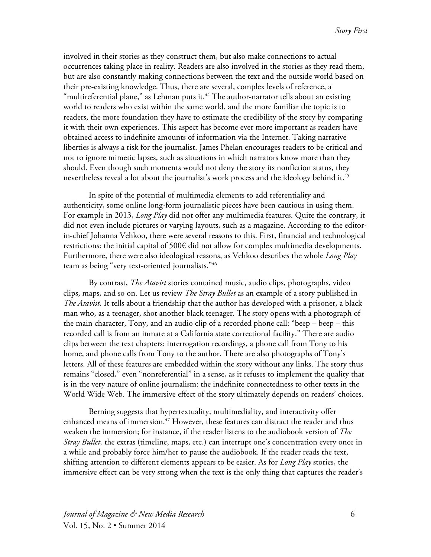involved in their stories as they construct them, but also make connections to actual occurrences taking place in reality. Readers are also involved in the stories as they read them, but are also constantly making connections between the text and the outside world based on their pre-existing knowledge. Thus, there are several, complex levels of reference, a "multireferential plane," as Lehman puts it. $44$  The author-narrator tells about an existing world to readers who exist within the same world, and the more familiar the topic is to readers, the more foundation they have to estimate the credibility of the story by comparing it with their own experiences. This aspect has become ever more important as readers have obtained access to indefinite amounts of information via the Internet. Taking narrative liberties is always a risk for the journalist. James Phelan encourages readers to be critical and not to ignore mimetic lapses, such as situations in which narrators know more than they should. Even though such moments would not deny the story its nonfiction status, they nevertheless reveal a lot about the journalist's work process and the ideology behind it.<sup>45</sup>

In spite of the potential of multimedia elements to add referentiality and authenticity, some online long-form journalistic pieces have been cautious in using them. For example in 2013, *Long Play* did not offer any multimedia features. Quite the contrary, it did not even include pictures or varying layouts, such as a magazine. According to the editorin-chief Johanna Vehkoo, there were several reasons to this. First, financial and technological restrictions: the initial capital of 500€ did not allow for complex multimedia developments. Furthermore, there were also ideological reasons, as Vehkoo describes the whole *Long Play* team as being "very text-oriented journalists."46

By contrast, *The Atavist* stories contained music, audio clips, photographs, video clips, maps, and so on. Let us review *The Stray Bullet* as an example of a story published in *The Atavist*. It tells about a friendship that the author has developed with a prisoner, a black man who, as a teenager, shot another black teenager. The story opens with a photograph of the main character, Tony, and an audio clip of a recorded phone call: "beep – beep – this recorded call is from an inmate at a California state correctional facility." There are audio clips between the text chapters: interrogation recordings, a phone call from Tony to his home, and phone calls from Tony to the author. There are also photographs of Tony's letters. All of these features are embedded within the story without any links. The story thus remains "closed," even "nonreferential" in a sense, as it refuses to implement the quality that is in the very nature of online journalism: the indefinite connectedness to other texts in the World Wide Web. The immersive effect of the story ultimately depends on readers' choices.

Berning suggests that hypertextuality, multimediality, and interactivity offer enhanced means of immersion.<sup>47</sup> However, these features can distract the reader and thus weaken the immersion; for instance, if the reader listens to the audiobook version of *The Stray Bullet*, the extras (timeline, maps, etc.) can interrupt one's concentration every once in a while and probably force him/her to pause the audiobook. If the reader reads the text, shifting attention to different elements appears to be easier. As for *Long Play* stories, the immersive effect can be very strong when the text is the only thing that captures the reader's

*Journal of Magazine & New Media Research* 6 Vol. 15, No. 2 • Summer 2014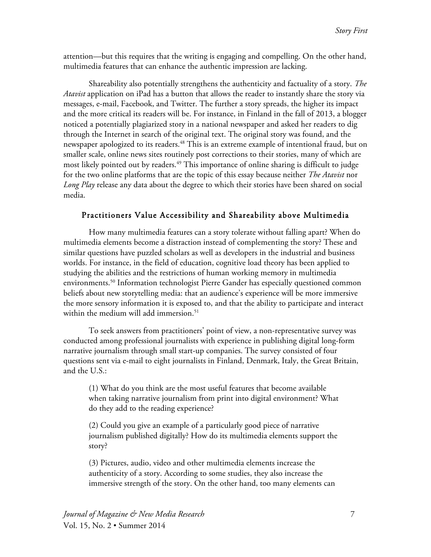attention—but this requires that the writing is engaging and compelling. On the other hand, multimedia features that can enhance the authentic impression are lacking.

Shareability also potentially strengthens the authenticity and factuality of a story. *The Atavist* application on iPad has a button that allows the reader to instantly share the story via messages, e-mail, Facebook, and Twitter. The further a story spreads, the higher its impact and the more critical its readers will be. For instance, in Finland in the fall of 2013, a blogger noticed a potentially plagiarized story in a national newspaper and asked her readers to dig through the Internet in search of the original text. The original story was found, and the newspaper apologized to its readers.<sup>48</sup> This is an extreme example of intentional fraud, but on smaller scale, online news sites routinely post corrections to their stories, many of which are most likely pointed out by readers.<sup>49</sup> This importance of online sharing is difficult to judge for the two online platforms that are the topic of this essay because neither *The Atavist* nor *Long Play* release any data about the degree to which their stories have been shared on social media.

#### Practitioners Value Accessibility and Shareability above Multimedia

How many multimedia features can a story tolerate without falling apart? When do multimedia elements become a distraction instead of complementing the story? These and similar questions have puzzled scholars as well as developers in the industrial and business worlds. For instance, in the field of education, cognitive load theory has been applied to studying the abilities and the restrictions of human working memory in multimedia environments. <sup>50</sup> Information technologist Pierre Gander has especially questioned common beliefs about new storytelling media: that an audience's experience will be more immersive the more sensory information it is exposed to, and that the ability to participate and interact within the medium will add immersion.<sup>51</sup>

To seek answers from practitioners' point of view, a non-representative survey was conducted among professional journalists with experience in publishing digital long-form narrative journalism through small start-up companies. The survey consisted of four questions sent via e-mail to eight journalists in Finland, Denmark, Italy, the Great Britain, and the U.S.:

(1) What do you think are the most useful features that become available when taking narrative journalism from print into digital environment? What do they add to the reading experience?

(2) Could you give an example of a particularly good piece of narrative journalism published digitally? How do its multimedia elements support the story?

(3) Pictures, audio, video and other multimedia elements increase the authenticity of a story. According to some studies, they also increase the immersive strength of the story. On the other hand, too many elements can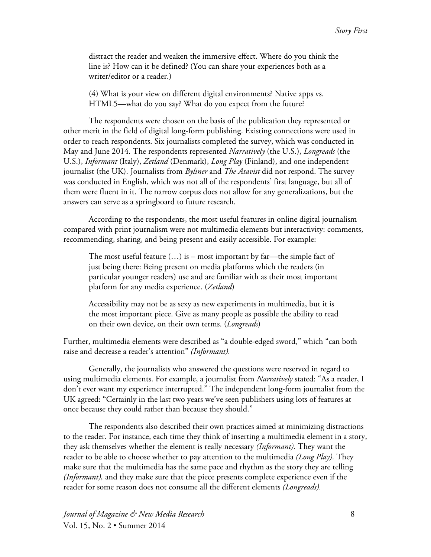distract the reader and weaken the immersive effect. Where do you think the line is? How can it be defined? (You can share your experiences both as a writer/editor or a reader.)

(4) What is your view on different digital environments? Native apps vs. HTML5—what do you say? What do you expect from the future?

The respondents were chosen on the basis of the publication they represented or other merit in the field of digital long-form publishing. Existing connections were used in order to reach respondents. Six journalists completed the survey, which was conducted in May and June 2014. The respondents represented *Narratively* (the U.S.), *Longreads* (the U.S.), *Informant* (Italy), *Zetland* (Denmark), *Long Play* (Finland), and one independent journalist (the UK). Journalists from *Byliner* and *The Atavist* did not respond. The survey was conducted in English, which was not all of the respondents' first language, but all of them were fluent in it. The narrow corpus does not allow for any generalizations, but the answers can serve as a springboard to future research.

According to the respondents, the most useful features in online digital journalism compared with print journalism were not multimedia elements but interactivity: comments, recommending, sharing, and being present and easily accessible. For example:

The most useful feature  $(...)$  is – most important by far—the simple fact of just being there: Being present on media platforms which the readers (in particular younger readers) use and are familiar with as their most important platform for any media experience. (*Zetland*)

Accessibility may not be as sexy as new experiments in multimedia, but it is the most important piece. Give as many people as possible the ability to read on their own device, on their own terms. (*Longreads*)

Further, multimedia elements were described as "a double-edged sword," which "can both raise and decrease a reader's attention" *(Informant).*

Generally, the journalists who answered the questions were reserved in regard to using multimedia elements. For example, a journalist from *Narratively* stated: "As a reader, I don't ever want my experience interrupted." The independent long-form journalist from the UK agreed: "Certainly in the last two years we've seen publishers using lots of features at once because they could rather than because they should."

The respondents also described their own practices aimed at minimizing distractions to the reader. For instance, each time they think of inserting a multimedia element in a story, they ask themselves whether the element is really necessary *(Informant).* They want the reader to be able to choose whether to pay attention to the multimedia *(Long Play).* They make sure that the multimedia has the same pace and rhythm as the story they are telling *(Informant),* and they make sure that the piece presents complete experience even if the reader for some reason does not consume all the different elements *(Longreads).*

*Journal of Magazine & New Media Research* 8 Vol. 15, No. 2 • Summer 2014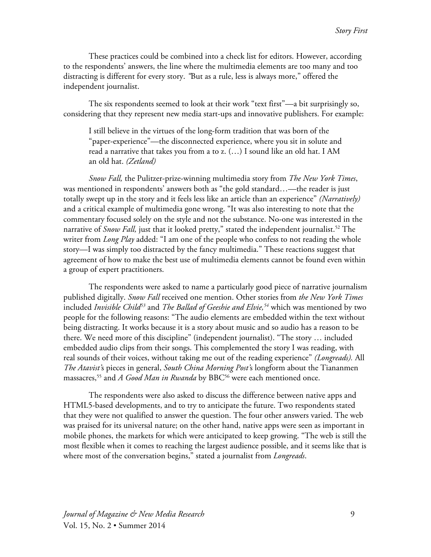These practices could be combined into a check list for editors. However, according to the respondents' answers, the line where the multimedia elements are too many and too distracting is different for every story. *"*But as a rule, less is always more," offered the independent journalist.

The six respondents seemed to look at their work "text first"—a bit surprisingly so, considering that they represent new media start-ups and innovative publishers. For example:

I still believe in the virtues of the long-form tradition that was born of the "paper-experience"—the disconnected experience, where you sit in solute and read a narrative that takes you from a to z. (…) I sound like an old hat. I AM an old hat. *(Zetland)*

*Snow Fall,* the Pulitzer-prize-winning multimedia story from *The New York Times*, was mentioned in respondents' answers both as "the gold standard…—the reader is just totally swept up in the story and it feels less like an article than an experience" *(Narratively)* and a critical example of multimedia gone wrong. "It was also interesting to note that the commentary focused solely on the style and not the substance. No-one was interested in the narrative of *Snow Fall*, just that it looked pretty," stated the independent journalist.<sup>52</sup> The writer from *Long Play* added: "I am one of the people who confess to not reading the whole story—I was simply too distracted by the fancy multimedia." These reactions suggest that agreement of how to make the best use of multimedia elements cannot be found even within a group of expert practitioners.

The respondents were asked to name a particularly good piece of narrative journalism published digitally. *Snow Fall* received one mention. Other stories from *the New York Times* included *Invisible Child53* and *The Ballad of Geeshie and Elvie, <sup>54</sup>* which was mentioned by two people for the following reasons: "The audio elements are embedded within the text without being distracting. It works because it is a story about music and so audio has a reason to be there. We need more of this discipline" (independent journalist). "The story … included embedded audio clips from their songs. This complemented the story I was reading, with real sounds of their voices, without taking me out of the reading experience" *(Longreads).* All *The Atavist'*s pieces in general, *South China Morning Post'*s longform about the Tiananmen massacres, <sup>55</sup> and *A Good Man in Rwanda* by BBC56 were each mentioned once.

The respondents were also asked to discuss the difference between native apps and HTML5-based developments, and to try to anticipate the future. Two respondents stated that they were not qualified to answer the question. The four other answers varied. The web was praised for its universal nature; on the other hand, native apps were seen as important in mobile phones, the markets for which were anticipated to keep growing. "The web is still the most flexible when it comes to reaching the largest audience possible, and it seems like that is where most of the conversation begins," stated a journalist from *Longreads*.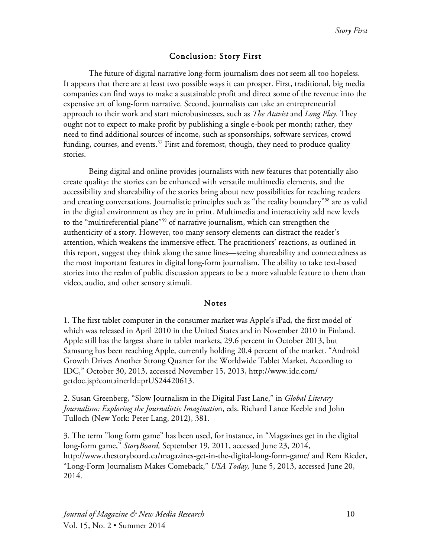## Conclusion: Story First

The future of digital narrative long-form journalism does not seem all too hopeless. It appears that there are at least two possible ways it can prosper. First, traditional, big media companies can find ways to make a sustainable profit and direct some of the revenue into the expensive art of long-form narrative. Second, journalists can take an entrepreneurial approach to their work and start microbusinesses, such as *The Atavist* and *Long Play*. They ought not to expect to make profit by publishing a single e-book per month; rather, they need to find additional sources of income, such as sponsorships, software services, crowd funding, courses, and events.<sup>57</sup> First and foremost, though, they need to produce quality stories.

Being digital and online provides journalists with new features that potentially also create quality: the stories can be enhanced with versatile multimedia elements, and the accessibility and shareability of the stories bring about new possibilities for reaching readers and creating conversations. Journalistic principles such as "the reality boundary"58 are as valid in the digital environment as they are in print. Multimedia and interactivity add new levels to the "multireferential plane"59 of narrative journalism, which can strengthen the authenticity of a story. However, too many sensory elements can distract the reader's attention, which weakens the immersive effect. The practitioners' reactions, as outlined in this report, suggest they think along the same lines—seeing shareability and connectedness as the most important features in digital long-form journalism. The ability to take text-based stories into the realm of public discussion appears to be a more valuable feature to them than video, audio, and other sensory stimuli.

### Notes

1. The first tablet computer in the consumer market was Apple's iPad, the first model of which was released in April 2010 in the United States and in November 2010 in Finland. Apple still has the largest share in tablet markets, 29.6 percent in October 2013, but Samsung has been reaching Apple, currently holding 20.4 percent of the market. "Android Growth Drives Another Strong Quarter for the Worldwide Tablet Market, According to IDC," October 30, 2013, accessed November 15, 2013, http://www.idc.com/ getdoc.jsp?containerId=prUS24420613.

2. Susan Greenberg, "Slow Journalism in the Digital Fast Lane," in *Global Literary Journalism: Exploring the Journalistic Imaginatio*n, eds. Richard Lance Keeble and John Tulloch (New York: Peter Lang, 2012), 381.

3. The term "long form game" has been used, for instance, in "Magazines get in the digital long-form game," *StoryBoard,* September 19, 2011, accessed June 23, 2014, http://www.thestoryboard.ca/magazines-get-in-the-digital-long-form-game/ and Rem Rieder, "Long-Form Journalism Makes Comeback," *USA Today,* June 5, 2013, accessed June 20, 2014.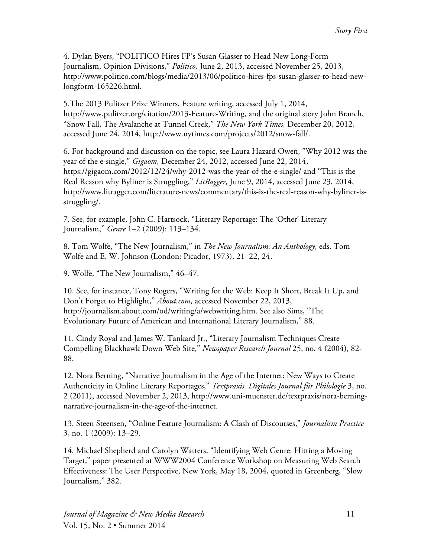4. Dylan Byers, "POLITICO Hires FP's Susan Glasser to Head New Long-Form Journalism, Opinion Divisions," *Politico,* June 2, 2013, accessed November 25, 2013, http://www.politico.com/blogs/media/2013/06/politico-hires-fps-susan-glasser-to-head-newlongform-165226.html.

5.The 2013 Pulitzer Prize Winners, Feature writing, accessed July 1, 2014, http://www.pulitzer.org/citation/2013-Feature-Writing, and the original story John Branch, "Snow Fall, The Avalanche at Tunnel Creek," *The New York Times,* December 20, 2012, accessed June 24, 2014, http://www.nytimes.com/projects/2012/snow-fall/.

6. For background and discussion on the topic, see Laura Hazard Owen, "Why 2012 was the year of the e-single," *Gigaom,* December 24, 2012, accessed June 22, 2014, https://gigaom.com/2012/12/24/why-2012-was-the-year-of-the-e-single/ and "This is the Real Reason why Byliner is Struggling," *LitRagger,* June 9, 2014, accessed June 23, 2014, http://www.litragger.com/literature-news/commentary/this-is-the-real-reason-why-byliner-isstruggling/.

7. See, for example, John C. Hartsock, "Literary Reportage: The 'Other' Literary Journalism," *Genre* 1–2 (2009): 113–134.

8. Tom Wolfe, "The New Journalism," in *The New Journalism: An Anthology,* eds. Tom Wolfe and E. W. Johnson (London: Picador, 1973), 21–22, 24.

9. Wolfe, "The New Journalism," 46–47.

10. See, for instance, Tony Rogers, "Writing for the Web: Keep It Short, Break It Up, and Don't Forget to Highlight," *About.com,* accessed November 22, 2013, http://journalism.about.com/od/writing/a/webwriting.htm. See also Sims, "The Evolutionary Future of American and International Literary Journalism," 88.

11. Cindy Royal and James W. Tankard Jr., "Literary Journalism Techniques Create Compelling Blackhawk Down Web Site," *Newspaper Research Journal* 25, no. 4 (2004), 82- 88.

12. Nora Berning, "Narrative Journalism in the Age of the Internet: New Ways to Create Authenticity in Online Literary Reportages," *Textpraxis. Digitales Journal für Philologie* 3, no. 2 (2011), accessed November 2, 2013, http://www.uni-muenster.de/textpraxis/nora-berningnarrative-journalism-in-the-age-of-the-internet.

13. Steen Steensen, "Online Feature Journalism: A Clash of Discourses," *Journalism Practice* 3, no. 1 (2009): 13–29.

14. Michael Shepherd and Carolyn Watters, "Identifying Web Genre: Hitting a Moving Target," paper presented at WWW2004 Conference Workshop on Measuring Web Search Effectiveness: The User Perspective, New York, May 18, 2004, quoted in Greenberg, "Slow Journalism," 382.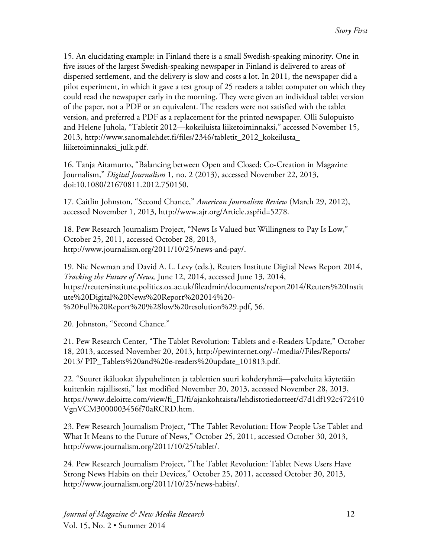15. An elucidating example: in Finland there is a small Swedish-speaking minority. One in five issues of the largest Swedish-speaking newspaper in Finland is delivered to areas of dispersed settlement, and the delivery is slow and costs a lot. In 2011, the newspaper did a pilot experiment, in which it gave a test group of 25 readers a tablet computer on which they could read the newspaper early in the morning. They were given an individual tablet version of the paper, not a PDF or an equivalent. The readers were not satisfied with the tablet version, and preferred a PDF as a replacement for the printed newspaper. Olli Sulopuisto and Helene Juhola, "Tabletit 2012—kokeiluista liiketoiminnaksi," accessed November 15, 2013, http://www.sanomalehdet.fi/files/2346/tabletit\_2012\_kokeilusta\_ liiketoiminnaksi\_julk.pdf.

16. Tanja Aitamurto, "Balancing between Open and Closed: Co-Creation in Magazine Journalism," *Digital Journalism* 1, no. 2 (2013), accessed November 22, 2013, doi:10.1080/21670811.2012.750150.

17. Caitlin Johnston, "Second Chance," *American Journalism Review* (March 29, 2012), accessed November 1, 2013, http://www.ajr.org/Article.asp?id=5278.

18. Pew Research Journalism Project, "News Is Valued but Willingness to Pay Is Low," October 25, 2011, accessed October 28, 2013, http://www.journalism.org/2011/10/25/news-and-pay/.

19. Nic Newman and David A. L. Levy (eds.), Reuters Institute Digital News Report 2014, *Tracking the Future of News,* June 12, 2014, accessed June 13, 2014, https://reutersinstitute.politics.ox.ac.uk/fileadmin/documents/report2014/Reuters%20Instit ute%20Digital%20News%20Report%202014%20- %20Full%20Report%20%28low%20resolution%29.pdf, 56.

20. Johnston, "Second Chance."

21. Pew Research Center, "The Tablet Revolution: Tablets and e-Readers Update," October 18, 2013, accessed November 20, 2013, http://pewinternet.org/~/media//Files/Reports/ 2013/ PIP\_Tablets%20and%20e-readers%20update\_101813.pdf.

22. "Suuret ikäluokat älypuhelinten ja tablettien suuri kohderyhmä—palveluita käytetään kuitenkin rajallisesti," last modified November 20, 2013, accessed November 28, 2013, https://www.deloitte.com/view/fi\_FI/fi/ajankohtaista/lehdistotiedotteet/d7d1df192c472410 VgnVCM3000003456f70aRCRD.htm.

23. Pew Research Journalism Project, "The Tablet Revolution: How People Use Tablet and What It Means to the Future of News," October 25, 2011, accessed October 30, 2013, http://www.journalism.org/2011/10/25/tablet/.

24. Pew Research Journalism Project, "The Tablet Revolution: Tablet News Users Have Strong News Habits on their Devices," October 25, 2011, accessed October 30, 2013, http://www.journalism.org/2011/10/25/news-habits/.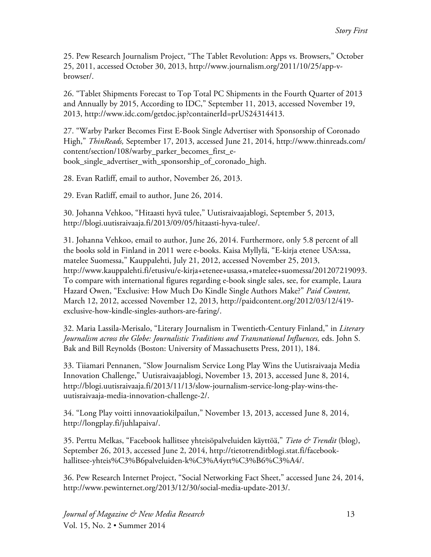25. Pew Research Journalism Project, "The Tablet Revolution: Apps vs. Browsers," October 25, 2011, accessed October 30, 2013, http://www.journalism.org/2011/10/25/app-vbrowser/.

26. "Tablet Shipments Forecast to Top Total PC Shipments in the Fourth Quarter of 2013 and Annually by 2015, According to IDC," September 11, 2013, accessed November 19, 2013, http://www.idc.com/getdoc.jsp?containerId=prUS24314413.

27. "Warby Parker Becomes First E-Book Single Advertiser with Sponsorship of Coronado High," *ThinReads,* September 17, 2013, accessed June 21, 2014, http://www.thinreads.com/ content/section/108/warby\_parker\_becomes\_first\_ebook\_single\_advertiser\_with\_sponsorship\_of\_coronado\_high.

28. Evan Ratliff, email to author, November 26, 2013.

29. Evan Ratliff, email to author, June 26, 2014.

30. Johanna Vehkoo, "Hitaasti hyvä tulee," Uutisraivaajablogi, September 5, 2013, http://blogi.uutisraivaaja.fi/2013/09/05/hitaasti-hyva-tulee/.

31. Johanna Vehkoo, email to author, June 26, 2014. Furthermore, only 5.8 percent of all the books sold in Finland in 2011 were e-books. Kaisa Myllylä, "E-kirja etenee USA:ssa, matelee Suomessa," Kauppalehti, July 21, 2012, accessed November 25, 2013, http://www.kauppalehti.fi/etusivu/e-kirja+etenee+usassa,+matelee+suomessa/201207219093. To compare with international figures regarding e-book single sales, see, for example, Laura Hazard Owen, "Exclusive: How Much Do Kindle Single Authors Make?" *Paid Content*, March 12, 2012, accessed November 12, 2013, http://paidcontent.org/2012/03/12/419 exclusive-how-kindle-singles-authors-are-faring/.

32. Maria Lassila-Merisalo, "Literary Journalism in Twentieth-Century Finland," in *Literary Journalism across the Globe: Journalistic Traditions and Transnational Influences,* eds. John S. Bak and Bill Reynolds (Boston: University of Massachusetts Press, 2011), 184.

33. Tiiamari Pennanen, "Slow Journalism Service Long Play Wins the Uutisraivaaja Media Innovation Challenge," Uutisraivaajablogi, November 13, 2013, accessed June 8, 2014, http://blogi.uutisraivaaja.fi/2013/11/13/slow-journalism-service-long-play-wins-theuutisraivaaja-media-innovation-challenge-2/.

34. "Long Play voitti innovaatiokilpailun," November 13, 2013, accessed June 8, 2014, http://longplay.fi/juhlapaiva/.

35. Perttu Melkas, "Facebook hallitsee yhteisöpalveluiden käyttöä," *Tieto & Trendit* (blog), September 26, 2013, accessed June 2, 2014, http://tietotrenditblogi.stat.fi/facebookhallitsee-yhteis%C3%B6palveluiden-k%C3%A4ytt%C3%B6%C3%A4/.

36. Pew Research Internet Project, "Social Networking Fact Sheet," accessed June 24, 2014, http://www.pewinternet.org/2013/12/30/social-media-update-2013/.

*Journal of Magazine & New Media Research* 13 Vol. 15, No. 2 • Summer 2014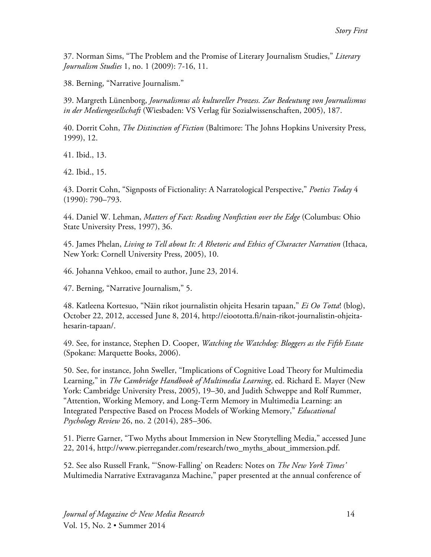37. Norman Sims, "The Problem and the Promise of Literary Journalism Studies," *Literary Journalism Studies* 1, no. 1 (2009): 7-16, 11.

38. Berning, "Narrative Journalism."

39. Margreth Lünenborg, *Journalismus als kultureller Prozess. Zur Bedeutung von Journalismus in der Mediengesellschaft* (Wiesbaden: VS Verlag für Sozialwissenschaften, 2005), 187.

40. Dorrit Cohn, *The Distinction of Fiction* (Baltimore: The Johns Hopkins University Press, 1999), 12.

41. Ibid., 13.

42. Ibid., 15.

43. Dorrit Cohn, "Signposts of Fictionality: A Narratological Perspective," *Poetics Today* 4 (1990): 790–793.

44. Daniel W. Lehman, *Matters of Fact: Reading Nonfiction over the Edge* (Columbus: Ohio State University Press, 1997), 36.

45. James Phelan, *Living to Tell about It: A Rhetoric and Ethics of Character Narration* (Ithaca, New York: Cornell University Press, 2005), 10.

46. Johanna Vehkoo, email to author, June 23, 2014.

47. Berning, "Narrative Journalism," 5.

48. Katleena Kortesuo, "Näin rikot journalistin ohjeita Hesarin tapaan," *Ei Oo Totta*! (blog), October 22, 2012, accessed June 8, 2014, http://eioototta.fi/nain-rikot-journalistin-ohjeitahesarin-tapaan/.

49. See, for instance, Stephen D. Cooper, *Watching the Watchdog: Bloggers as the Fifth Estate* (Spokane: Marquette Books, 2006).

50. See, for instance, John Sweller, "Implications of Cognitive Load Theory for Multimedia Learning," in *The Cambridge Handbook of Multimedia Learning*, ed. Richard E. Mayer (New York: Cambridge University Press, 2005), 19–30, and Judith Schweppe and Rolf Rummer, "Attention, Working Memory, and Long-Term Memory in Multimedia Learning: an Integrated Perspective Based on Process Models of Working Memory," *Educational Psychology Review* 26, no. 2 (2014), 285–306.

51. Pierre Garner, "Two Myths about Immersion in New Storytelling Media," accessed June 22, 2014, http://www.pierregander.com/research/two\_myths\_about\_immersion.pdf.

52. See also Russell Frank, "'Snow-Falling' on Readers: Notes on *The New York Times'* Multimedia Narrative Extravaganza Machine," paper presented at the annual conference of